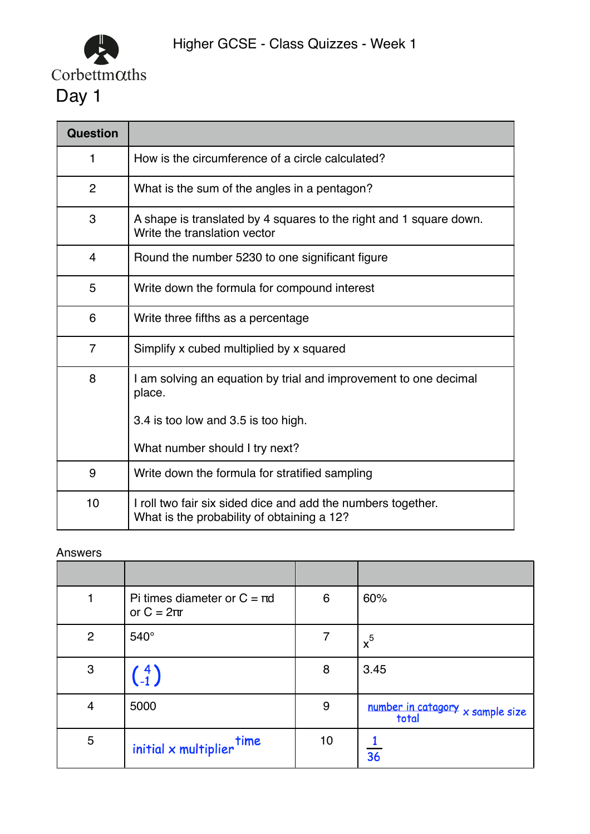

| <b>Question</b> |                                                                                                            |
|-----------------|------------------------------------------------------------------------------------------------------------|
| 1               | How is the circumference of a circle calculated?                                                           |
| $\overline{2}$  | What is the sum of the angles in a pentagon?                                                               |
| 3               | A shape is translated by 4 squares to the right and 1 square down.<br>Write the translation vector         |
| $\overline{4}$  | Round the number 5230 to one significant figure                                                            |
| 5               | Write down the formula for compound interest                                                               |
| 6               | Write three fifths as a percentage                                                                         |
| $\overline{7}$  | Simplify x cubed multiplied by x squared                                                                   |
| 8               | I am solving an equation by trial and improvement to one decimal<br>place.                                 |
|                 | 3.4 is too low and 3.5 is too high.                                                                        |
|                 | What number should I try next?                                                                             |
| 9               | Write down the formula for stratified sampling                                                             |
| 10              | I roll two fair six sided dice and add the numbers together.<br>What is the probability of obtaining a 12? |

|                | Pi times diameter or $C = \pi d$<br>or $C = 2\pi r$ | 6  | 60%                                         |
|----------------|-----------------------------------------------------|----|---------------------------------------------|
| $\overline{2}$ | $540^\circ$                                         | 7  | $x^5$                                       |
| $\mathbf{3}$   | $\binom{4}{-1}$                                     | 8  | 3.45                                        |
| $\overline{4}$ | 5000                                                | 9  | number in catagory $x$ sample size<br>total |
| $\overline{5}$ | $initial \times multiplier$                         | 10 | $\overline{36}$                             |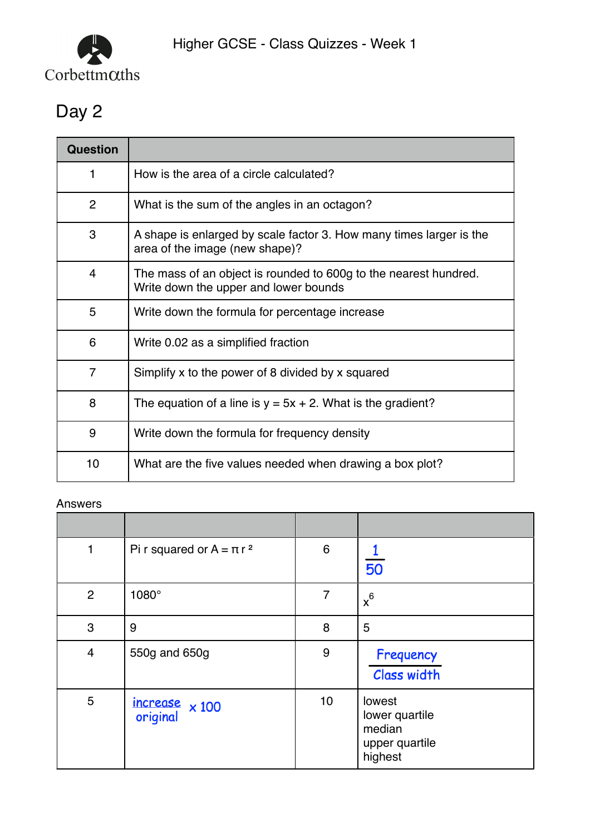

# Day 2

| Question       |                                                                                                           |
|----------------|-----------------------------------------------------------------------------------------------------------|
| 1              | How is the area of a circle calculated?                                                                   |
| 2              | What is the sum of the angles in an octagon?                                                              |
| 3              | A shape is enlarged by scale factor 3. How many times larger is the<br>area of the image (new shape)?     |
| 4              | The mass of an object is rounded to 600g to the nearest hundred.<br>Write down the upper and lower bounds |
| 5              | Write down the formula for percentage increase                                                            |
| 6              | Write 0.02 as a simplified fraction                                                                       |
| $\overline{7}$ | Simplify x to the power of 8 divided by x squared                                                         |
| 8              | The equation of a line is $y = 5x + 2$ . What is the gradient?                                            |
| 9              | Write down the formula for frequency density                                                              |
| 10             | What are the five values needed when drawing a box plot?                                                  |

| 1              | Pi r squared or $A = \pi r^2$     | $6\phantom{1}6$ | 50                                                              |
|----------------|-----------------------------------|-----------------|-----------------------------------------------------------------|
| $\overline{2}$ | 1080°                             | 7               | $x^6$                                                           |
| 3              | 9                                 | 8               | 5                                                               |
| $\overline{4}$ | 550g and 650g                     | $9\,$           | Frequency<br>Class width                                        |
| 5              | increase $\times 100$<br>original | 10              | lowest<br>lower quartile<br>median<br>upper quartile<br>highest |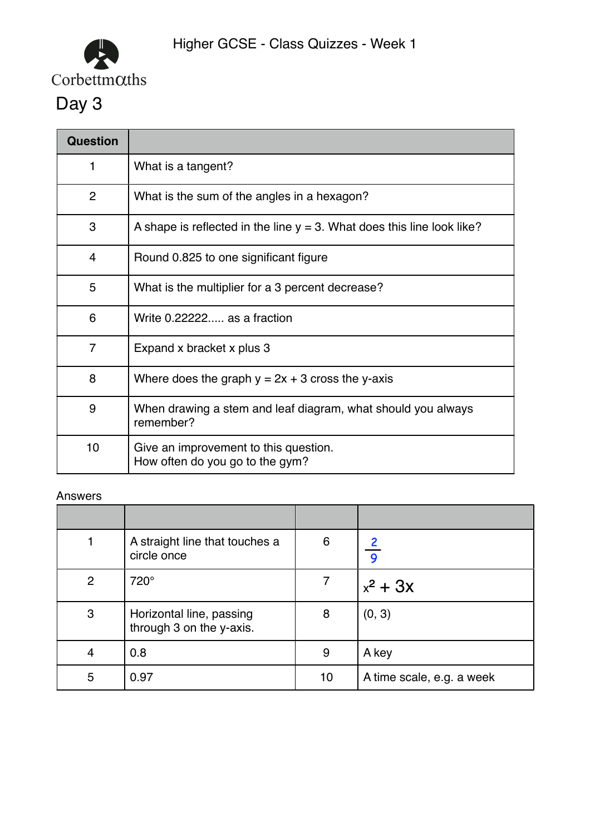

| <b>Question</b> |                                                                           |  |  |
|-----------------|---------------------------------------------------------------------------|--|--|
| 1               | What is a tangent?                                                        |  |  |
| $\overline{2}$  | What is the sum of the angles in a hexagon?                               |  |  |
| 3               | A shape is reflected in the line $y = 3$ . What does this line look like? |  |  |
| 4               | Round 0.825 to one significant figure                                     |  |  |
| 5               | What is the multiplier for a 3 percent decrease?                          |  |  |
| 6               | Write 0.22222 as a fraction                                               |  |  |
| $\overline{7}$  | Expand x bracket x plus 3                                                 |  |  |
| 8               | Where does the graph $y = 2x + 3$ cross the y-axis                        |  |  |
| 9               | When drawing a stem and leaf diagram, what should you always<br>remember? |  |  |
| 10 <sub>1</sub> | Give an improvement to this question.<br>How often do you go to the gym?  |  |  |

|              | A straight line that touches a<br>circle once        | 6  | $\overline{9}$            |
|--------------|------------------------------------------------------|----|---------------------------|
| 2            | 720°                                                 |    | $x^2$ + 3x                |
| $\mathbf{3}$ | Horizontal line, passing<br>through 3 on the y-axis. | 8  | (0, 3)                    |
| 4            | 0.8                                                  | 9  | A key                     |
| 5            | 0.97                                                 | 10 | A time scale, e.g. a week |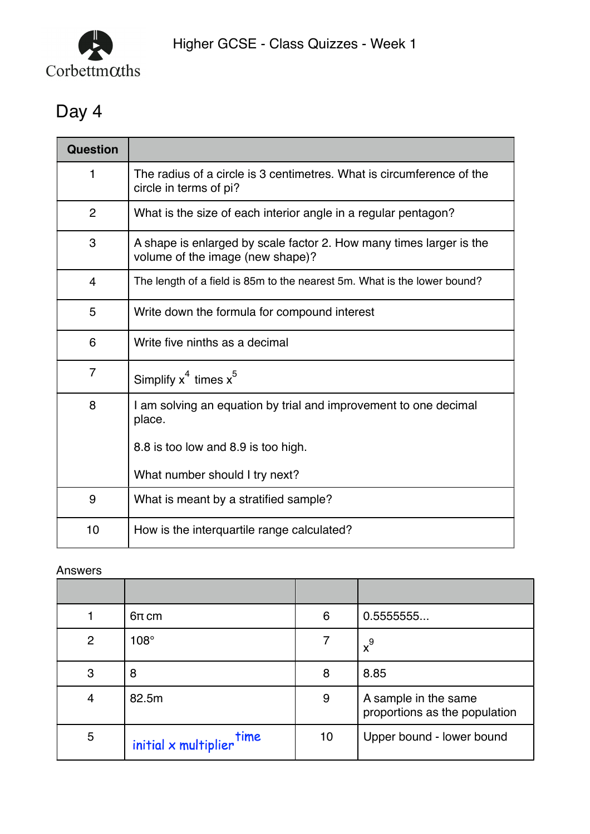

## Day 4

| <b>Question</b> |                                                                                                         |
|-----------------|---------------------------------------------------------------------------------------------------------|
| 1               | The radius of a circle is 3 centimetres. What is circumference of the<br>circle in terms of pi?         |
| $\overline{2}$  | What is the size of each interior angle in a regular pentagon?                                          |
| 3               | A shape is enlarged by scale factor 2. How many times larger is the<br>volume of the image (new shape)? |
| $\overline{4}$  | The length of a field is 85m to the nearest 5m. What is the lower bound?                                |
| 5               | Write down the formula for compound interest                                                            |
| 6               | Write five ninths as a decimal                                                                          |
| $\overline{7}$  | Simplify $x^4$ times $x^5$                                                                              |
| 8               | I am solving an equation by trial and improvement to one decimal<br>place.                              |
|                 | 8.8 is too low and 8.9 is too high.                                                                     |
|                 | What number should I try next?                                                                          |
| 9               | What is meant by a stratified sample?                                                                   |
| 10              | How is the interquartile range calculated?                                                              |

|                | $6\pi$ cm                   | 6  | 0.5555555                                             |
|----------------|-----------------------------|----|-------------------------------------------------------|
| $\overline{2}$ | $108^\circ$                 | 7  | $x^9$                                                 |
| 3              | 8                           | 8  | 8.85                                                  |
| 4              | 82.5m                       | 9  | A sample in the same<br>proportions as the population |
| 5              | $initial \times multiplier$ | 10 | Upper bound - lower bound                             |